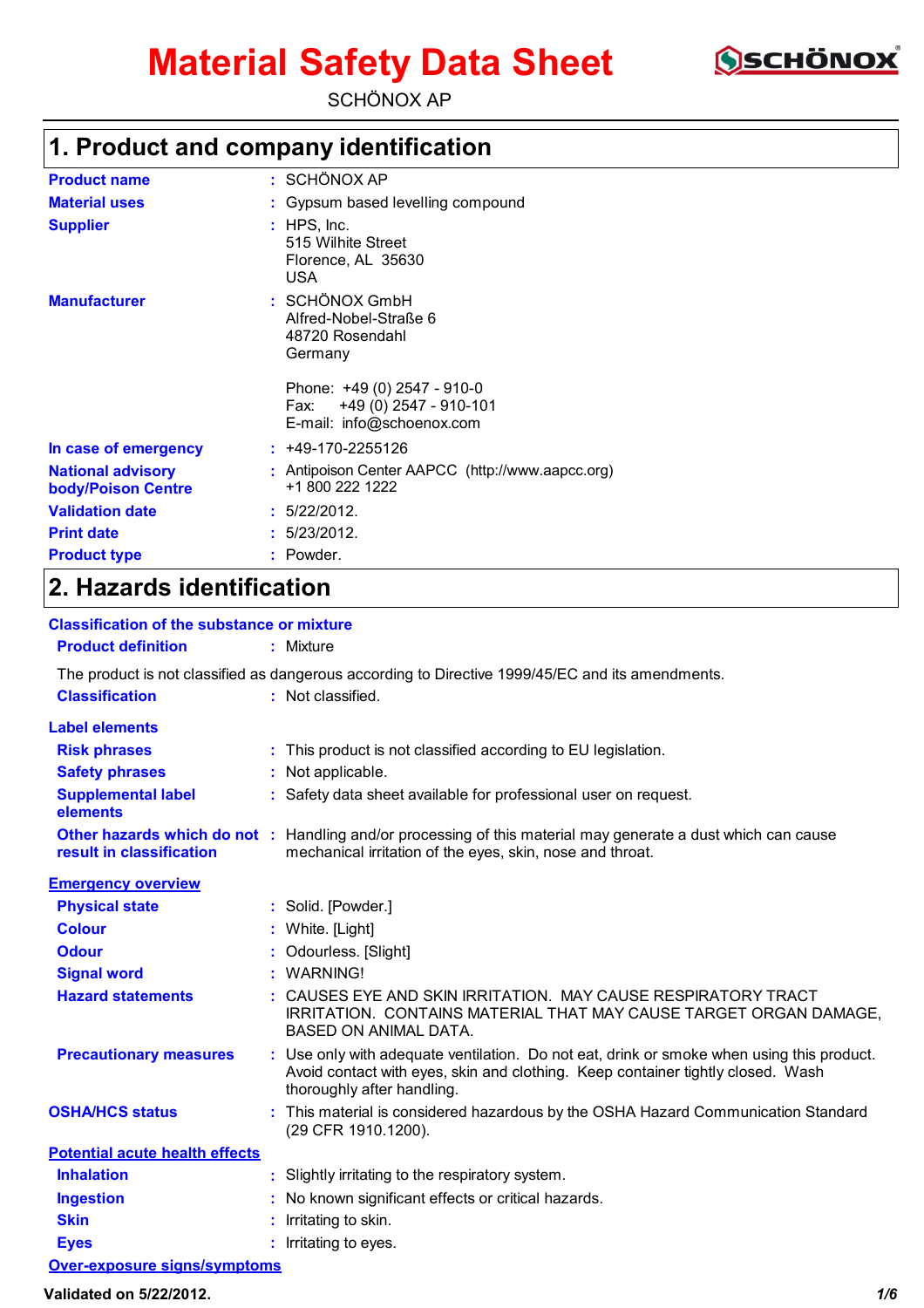# **Material Safety Data Sheet**



SCHÖNOX AP

# **1. Product and company identification**

| <b>Product name</b>                                   | : SCHÖNOX AP                                                                                                                                                     |
|-------------------------------------------------------|------------------------------------------------------------------------------------------------------------------------------------------------------------------|
| <b>Material uses</b>                                  | Gypsum based levelling compound                                                                                                                                  |
| <b>Supplier</b>                                       | $:$ HPS, Inc.<br>515 Wilhite Street<br>Florence, AL 35630<br><b>USA</b>                                                                                          |
| <b>Manufacturer</b>                                   | : SCHÖNOX GmbH<br>Alfred-Nobel-Straße 6<br>48720 Rosendahl<br>Germany<br>Phone: +49 (0) 2547 - 910-0<br>Fax: +49 (0) 2547 - 910-101<br>E-mail: info@schoenox.com |
| In case of emergency                                  | $: +49-170-2255126$                                                                                                                                              |
| <b>National advisory</b><br><b>body/Poison Centre</b> | : Antipoison Center AAPCC (http://www.aapcc.org)<br>+1 800 222 1222                                                                                              |
| <b>Validation date</b>                                | : 5/22/2012.                                                                                                                                                     |
| <b>Print date</b>                                     | : 5/23/2012.                                                                                                                                                     |
| <b>Product type</b>                                   | : Powder.                                                                                                                                                        |

# **2. Hazards identification**

| <b>Classification of the substance or mixture</b> |                                                                                                                                                                                                            |
|---------------------------------------------------|------------------------------------------------------------------------------------------------------------------------------------------------------------------------------------------------------------|
| <b>Product definition</b>                         | $:$ Mixture                                                                                                                                                                                                |
|                                                   | The product is not classified as dangerous according to Directive 1999/45/EC and its amendments.                                                                                                           |
| <b>Classification</b>                             | : Not classified.                                                                                                                                                                                          |
| <b>Label elements</b>                             |                                                                                                                                                                                                            |
| <b>Risk phrases</b>                               | : This product is not classified according to EU legislation.                                                                                                                                              |
| <b>Safety phrases</b>                             | Not applicable.                                                                                                                                                                                            |
| <b>Supplemental label</b><br>elements             | : Safety data sheet available for professional user on request.                                                                                                                                            |
| result in classification                          | Other hazards which do not : Handling and/or processing of this material may generate a dust which can cause<br>mechanical irritation of the eyes, skin, nose and throat.                                  |
| <b>Emergency overview</b>                         |                                                                                                                                                                                                            |
| <b>Physical state</b>                             | : Solid. [Powder.]                                                                                                                                                                                         |
| <b>Colour</b>                                     | White. [Light]                                                                                                                                                                                             |
| <b>Odour</b>                                      | Odourless. [Slight]                                                                                                                                                                                        |
| <b>Signal word</b>                                | : WARNING!                                                                                                                                                                                                 |
| <b>Hazard statements</b>                          | : CAUSES EYE AND SKIN IRRITATION. MAY CAUSE RESPIRATORY TRACT<br>IRRITATION. CONTAINS MATERIAL THAT MAY CAUSE TARGET ORGAN DAMAGE,<br><b>BASED ON ANIMAL DATA.</b>                                         |
| <b>Precautionary measures</b>                     | : Use only with adequate ventilation. Do not eat, drink or smoke when using this product.<br>Avoid contact with eyes, skin and clothing. Keep container tightly closed. Wash<br>thoroughly after handling. |
| <b>OSHA/HCS status</b>                            | : This material is considered hazardous by the OSHA Hazard Communication Standard<br>(29 CFR 1910.1200).                                                                                                   |
| <b>Potential acute health effects</b>             |                                                                                                                                                                                                            |
| <b>Inhalation</b>                                 | : Slightly irritating to the respiratory system.                                                                                                                                                           |
| <b>Ingestion</b>                                  | No known significant effects or critical hazards.                                                                                                                                                          |
| <b>Skin</b>                                       | Irritating to skin.                                                                                                                                                                                        |
| <b>Eyes</b>                                       | : Irritating to eyes.                                                                                                                                                                                      |
| <b>Over-exposure signs/symptoms</b>               |                                                                                                                                                                                                            |

**Validated on 5/22/2012.** *1/6*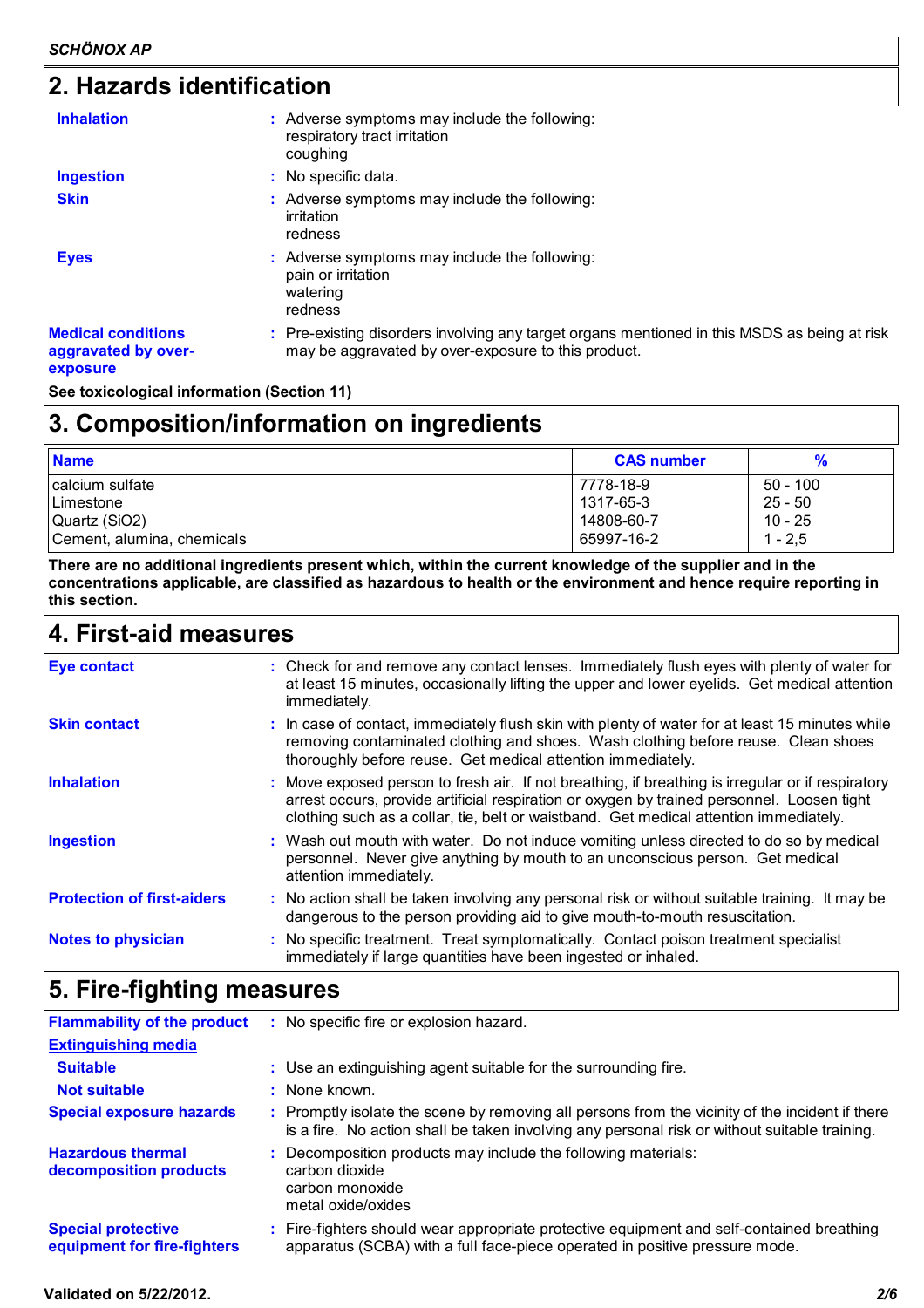## **2. Hazards identification**

| <b>Inhalation</b>                                            | : Adverse symptoms may include the following:<br>respiratory tract irritation<br>coughing                                                           |
|--------------------------------------------------------------|-----------------------------------------------------------------------------------------------------------------------------------------------------|
| <b>Ingestion</b>                                             | : No specific data.                                                                                                                                 |
| <b>Skin</b>                                                  | : Adverse symptoms may include the following:<br>irritation<br>redness                                                                              |
| <b>Eyes</b>                                                  | : Adverse symptoms may include the following:<br>pain or irritation<br>watering<br>redness                                                          |
| <b>Medical conditions</b><br>aggravated by over-<br>exposure | : Pre-existing disorders involving any target organs mentioned in this MSDS as being at risk<br>may be aggravated by over-exposure to this product. |

**See toxicological information (Section 11)**

# **3. Composition/information on ingredients Name CAS number %**

| .                          |            | $\overline{\phantom{a}}$ |
|----------------------------|------------|--------------------------|
| calcium sulfate            | 7778-18-9  | $50 - 100$               |
| Limestone                  | 1317-65-3  | $25 - 50$                |
| Quartz (SiO2)              | 14808-60-7 | $10 - 25$                |
| Cement, alumina, chemicals | 65997-16-2 | 1 - 2.5                  |

**There are no additional ingredients present which, within the current knowledge of the supplier and in the concentrations applicable, are classified as hazardous to health or the environment and hence require reporting in this section.**

| 4. First-aid measures             |                                                                                                                                                                                                                                                                                          |  |
|-----------------------------------|------------------------------------------------------------------------------------------------------------------------------------------------------------------------------------------------------------------------------------------------------------------------------------------|--|
| <b>Eye contact</b>                | : Check for and remove any contact lenses. Immediately flush eyes with plenty of water for<br>at least 15 minutes, occasionally lifting the upper and lower eyelids. Get medical attention<br>immediately.                                                                               |  |
| <b>Skin contact</b>               | : In case of contact, immediately flush skin with plenty of water for at least 15 minutes while<br>removing contaminated clothing and shoes. Wash clothing before reuse. Clean shoes<br>thoroughly before reuse. Get medical attention immediately.                                      |  |
| <b>Inhalation</b>                 | : Move exposed person to fresh air. If not breathing, if breathing is irregular or if respiratory<br>arrest occurs, provide artificial respiration or oxygen by trained personnel. Loosen tight<br>clothing such as a collar, tie, belt or waistband. Get medical attention immediately. |  |
| <b>Ingestion</b>                  | : Wash out mouth with water. Do not induce vomiting unless directed to do so by medical<br>personnel. Never give anything by mouth to an unconscious person. Get medical<br>attention immediately.                                                                                       |  |
| <b>Protection of first-aiders</b> | : No action shall be taken involving any personal risk or without suitable training. It may be<br>dangerous to the person providing aid to give mouth-to-mouth resuscitation.                                                                                                            |  |
| <b>Notes to physician</b>         | : No specific treatment. Treat symptomatically. Contact poison treatment specialist<br>immediately if large quantities have been ingested or inhaled.                                                                                                                                    |  |

### **5. Fire-fighting measures**

| <b>Flammability of the product</b>                       | No specific fire or explosion hazard.                                                                                                                                                            |
|----------------------------------------------------------|--------------------------------------------------------------------------------------------------------------------------------------------------------------------------------------------------|
| <b>Extinguishing media</b>                               |                                                                                                                                                                                                  |
| <b>Suitable</b>                                          | : Use an extinguishing agent suitable for the surrounding fire.                                                                                                                                  |
| <b>Not suitable</b>                                      | $:$ None known.                                                                                                                                                                                  |
| <b>Special exposure hazards</b>                          | : Promptly isolate the scene by removing all persons from the vicinity of the incident if there<br>is a fire. No action shall be taken involving any personal risk or without suitable training. |
| <b>Hazardous thermal</b><br>decomposition products       | Decomposition products may include the following materials:<br>carbon dioxide<br>carbon monoxide<br>metal oxide/oxides                                                                           |
| <b>Special protective</b><br>equipment for fire-fighters | : Fire-fighters should wear appropriate protective equipment and self-contained breathing<br>apparatus (SCBA) with a full face-piece operated in positive pressure mode.                         |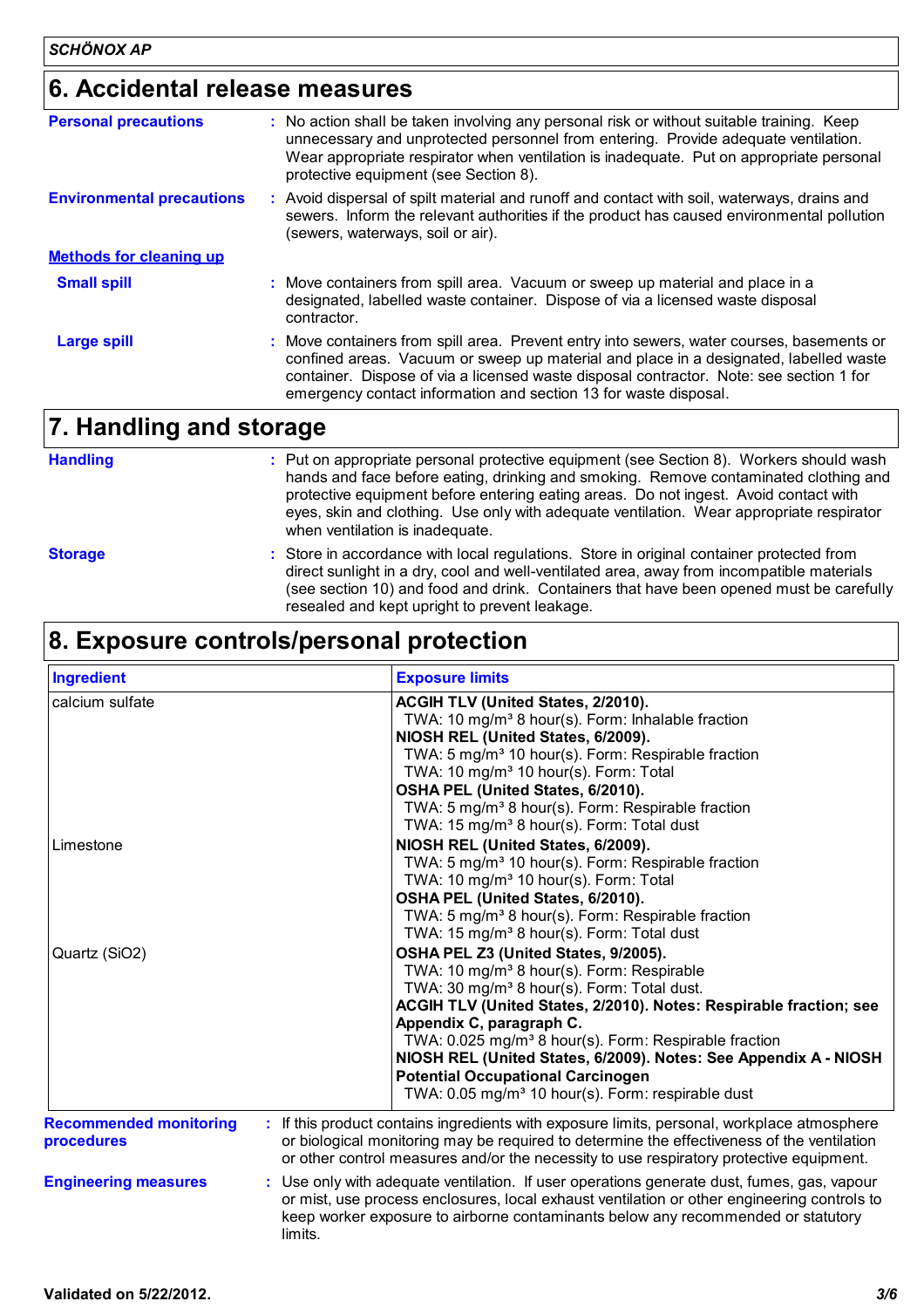### **6. Accidental release measures**

| <b>Personal precautions</b>      | : No action shall be taken involving any personal risk or without suitable training. Keep<br>unnecessary and unprotected personnel from entering. Provide adequate ventilation.<br>Wear appropriate respirator when ventilation is inadequate. Put on appropriate personal<br>protective equipment (see Section 8).                               |  |
|----------------------------------|---------------------------------------------------------------------------------------------------------------------------------------------------------------------------------------------------------------------------------------------------------------------------------------------------------------------------------------------------|--|
| <b>Environmental precautions</b> | Avoid dispersal of spilt material and runoff and contact with soil, waterways, drains and<br>sewers. Inform the relevant authorities if the product has caused environmental pollution<br>(sewers, waterways, soil or air).                                                                                                                       |  |
| <b>Methods for cleaning up</b>   |                                                                                                                                                                                                                                                                                                                                                   |  |
| <b>Small spill</b>               | : Move containers from spill area. Vacuum or sweep up material and place in a<br>designated, labelled waste container. Dispose of via a licensed waste disposal<br>contractor.                                                                                                                                                                    |  |
| <b>Large spill</b>               | : Move containers from spill area. Prevent entry into sewers, water courses, basements or<br>confined areas. Vacuum or sweep up material and place in a designated, labelled waste<br>container. Dispose of via a licensed waste disposal contractor. Note: see section 1 for<br>emergency contact information and section 13 for waste disposal. |  |
| 7. Handling and storage          |                                                                                                                                                                                                                                                                                                                                                   |  |

| <b>Handling</b> | : Put on appropriate personal protective equipment (see Section 8). Workers should wash<br>hands and face before eating, drinking and smoking. Remove contaminated clothing and<br>protective equipment before entering eating areas. Do not ingest. Avoid contact with<br>eyes, skin and clothing. Use only with adequate ventilation. Wear appropriate respirator<br>when ventilation is inadequate. |
|-----------------|--------------------------------------------------------------------------------------------------------------------------------------------------------------------------------------------------------------------------------------------------------------------------------------------------------------------------------------------------------------------------------------------------------|
|                 |                                                                                                                                                                                                                                                                                                                                                                                                        |

Store in accordance with local regulations. Store in original container protected from **:** direct sunlight in a dry, cool and well-ventilated area, away from incompatible materials (see section 10) and food and drink. Containers that have been opened must be carefully resealed and kept upright to prevent leakage. **Storage**

### **8. Exposure controls/personal protection**

| <b>Ingredient</b>                           | <b>Exposure limits</b>                                                                                                                                                                                                                                                                                                                                                                                                                                                                                          |
|---------------------------------------------|-----------------------------------------------------------------------------------------------------------------------------------------------------------------------------------------------------------------------------------------------------------------------------------------------------------------------------------------------------------------------------------------------------------------------------------------------------------------------------------------------------------------|
| calcium sulfate                             | ACGIH TLV (United States, 2/2010).<br>TWA: 10 mg/m <sup>3</sup> 8 hour(s). Form: Inhalable fraction<br>NIOSH REL (United States, 6/2009).<br>TWA: 5 mg/m <sup>3</sup> 10 hour(s). Form: Respirable fraction<br>TWA: 10 mg/m <sup>3</sup> 10 hour(s). Form: Total<br>OSHA PEL (United States, 6/2010).<br>TWA: 5 mg/m <sup>3</sup> 8 hour(s). Form: Respirable fraction                                                                                                                                          |
| Limestone                                   | TWA: 15 mg/m <sup>3</sup> 8 hour(s). Form: Total dust<br>NIOSH REL (United States, 6/2009).<br>TWA: 5 mg/m <sup>3</sup> 10 hour(s). Form: Respirable fraction<br>TWA: 10 mg/m <sup>3</sup> 10 hour(s). Form: Total<br>OSHA PEL (United States, 6/2010).<br>TWA: 5 mg/m <sup>3</sup> 8 hour(s). Form: Respirable fraction<br>TWA: 15 mg/m <sup>3</sup> 8 hour(s). Form: Total dust                                                                                                                               |
| Quartz (SiO2)                               | OSHA PEL Z3 (United States, 9/2005).<br>TWA: 10 mg/m <sup>3</sup> 8 hour(s). Form: Respirable<br>TWA: 30 mg/m <sup>3</sup> 8 hour(s). Form: Total dust.<br>ACGIH TLV (United States, 2/2010). Notes: Respirable fraction; see<br>Appendix C, paragraph C.<br>TWA: 0.025 mg/m <sup>3</sup> 8 hour(s). Form: Respirable fraction<br>NIOSH REL (United States, 6/2009). Notes: See Appendix A - NIOSH<br><b>Potential Occupational Carcinogen</b><br>TWA: 0.05 mg/m <sup>3</sup> 10 hour(s). Form: respirable dust |
| <b>Recommended monitoring</b><br>procedures | : If this product contains ingredients with exposure limits, personal, workplace atmosphere<br>or biological monitoring may be required to determine the effectiveness of the ventilation<br>or other control measures and/or the necessity to use respiratory protective equipment.                                                                                                                                                                                                                            |
| <b>Engineering measures</b>                 | : Use only with adequate ventilation. If user operations generate dust, fumes, gas, vapour<br>or mist, use process enclosures, local exhaust ventilation or other engineering controls to<br>keep worker exposure to airborne contaminants below any recommended or statutory<br>limits.                                                                                                                                                                                                                        |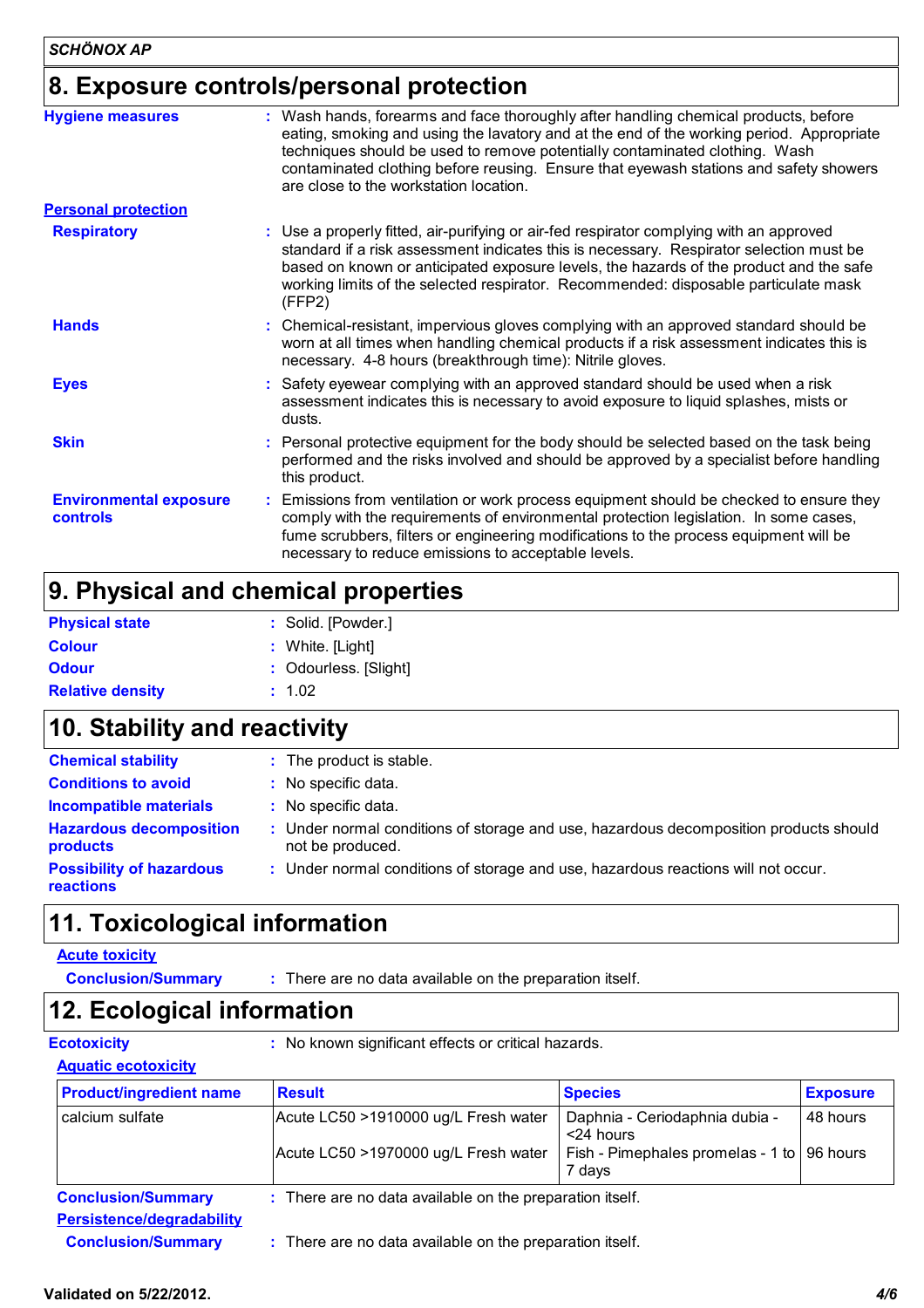## **8. Exposure controls/personal protection**

| <b>Hygiene measures</b>                          | : Wash hands, forearms and face thoroughly after handling chemical products, before<br>eating, smoking and using the lavatory and at the end of the working period. Appropriate<br>techniques should be used to remove potentially contaminated clothing. Wash<br>contaminated clothing before reusing. Ensure that eyewash stations and safety showers<br>are close to the workstation location. |  |
|--------------------------------------------------|---------------------------------------------------------------------------------------------------------------------------------------------------------------------------------------------------------------------------------------------------------------------------------------------------------------------------------------------------------------------------------------------------|--|
| <b>Personal protection</b>                       |                                                                                                                                                                                                                                                                                                                                                                                                   |  |
| <b>Respiratory</b>                               | : Use a properly fitted, air-purifying or air-fed respirator complying with an approved<br>standard if a risk assessment indicates this is necessary. Respirator selection must be<br>based on known or anticipated exposure levels, the hazards of the product and the safe<br>working limits of the selected respirator. Recommended: disposable particulate mask<br>(FFP2)                     |  |
| <b>Hands</b>                                     | : Chemical-resistant, impervious gloves complying with an approved standard should be<br>worn at all times when handling chemical products if a risk assessment indicates this is<br>necessary. 4-8 hours (breakthrough time): Nitrile gloves.                                                                                                                                                    |  |
| <b>Eyes</b>                                      | : Safety eyewear complying with an approved standard should be used when a risk<br>assessment indicates this is necessary to avoid exposure to liquid splashes, mists or<br>dusts.                                                                                                                                                                                                                |  |
| <b>Skin</b>                                      | : Personal protective equipment for the body should be selected based on the task being<br>performed and the risks involved and should be approved by a specialist before handling<br>this product.                                                                                                                                                                                               |  |
| <b>Environmental exposure</b><br><b>controls</b> | : Emissions from ventilation or work process equipment should be checked to ensure they<br>comply with the requirements of environmental protection legislation. In some cases,<br>fume scrubbers, filters or engineering modifications to the process equipment will be<br>necessary to reduce emissions to acceptable levels.                                                                   |  |

# **9. Physical and chemical properties**

| <b>Physical state</b>   | : Solid. [Powder.]    |
|-------------------------|-----------------------|
| <b>Colour</b>           | : White. $[Light]$    |
| <b>Odour</b>            | : Odourless. [Slight] |
| <b>Relative density</b> | : 1.02                |
|                         |                       |

# **10. Stability and reactivity**

| <b>Chemical stability</b>                           | : The product is stable.                                                                                  |
|-----------------------------------------------------|-----------------------------------------------------------------------------------------------------------|
| <b>Conditions to avoid</b>                          | : No specific data.                                                                                       |
| <b>Incompatible materials</b>                       | No specific data.                                                                                         |
| <b>Hazardous decomposition</b><br><b>products</b>   | : Under normal conditions of storage and use, hazardous decomposition products should<br>not be produced. |
| <b>Possibility of hazardous</b><br><b>reactions</b> | : Under normal conditions of storage and use, hazardous reactions will not occur.                         |

# **11. Toxicological information**

#### **Acute toxicity**

**Conclusion/Summary :** There are no data available on the preparation itself.

### **12. Ecological information**

**Ecotoxicity :** No known significant effects or critical hazards.

#### **Aquatic ecotoxicity**

| <b>Product/ingredient name</b> | <b>Result</b>                                            | <b>Species</b>                                         | <b>Exposure</b> |
|--------------------------------|----------------------------------------------------------|--------------------------------------------------------|-----------------|
| calcium sulfate                | Acute LC50 >1910000 ug/L Fresh water                     | Daphnia - Ceriodaphnia dubia -<br><24 hours            | 48 hours        |
|                                | Acute LC50 >1970000 ug/L Fresh water                     | Fish - Pimephales promelas - 1 to   96 hours<br>7 days |                 |
| <b>Conclusion/Summary</b>      | : There are no data available on the preparation itself. |                                                        |                 |
| Persistence/degradability      |                                                          |                                                        |                 |
| <b>Conclusion/Summary</b>      | : There are no data available on the preparation itself. |                                                        |                 |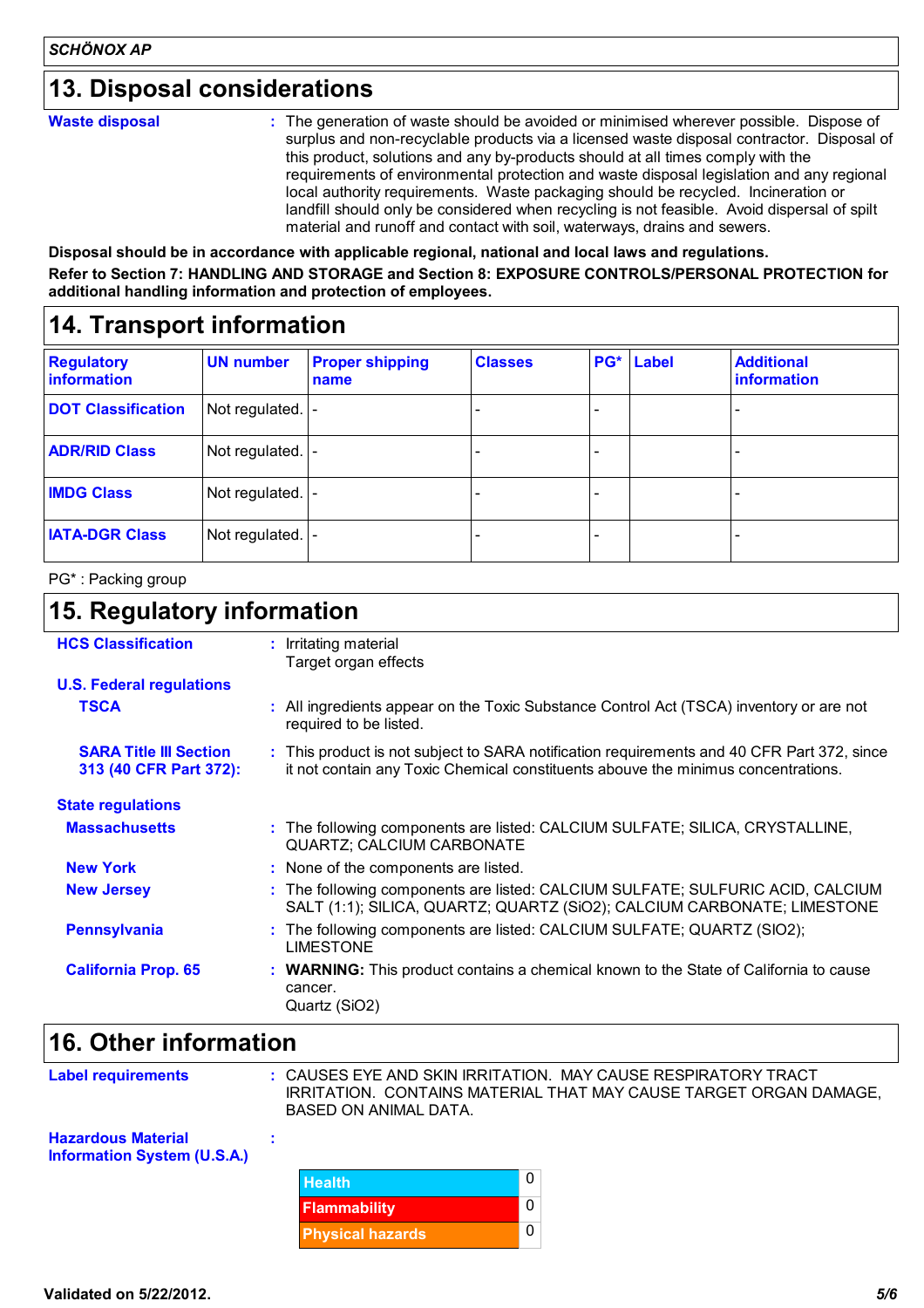### **13. Disposal considerations**

#### **Waste disposal**

The generation of waste should be avoided or minimised wherever possible. Dispose of **:** surplus and non-recyclable products via a licensed waste disposal contractor. Disposal of this product, solutions and any by-products should at all times comply with the requirements of environmental protection and waste disposal legislation and any regional local authority requirements. Waste packaging should be recycled. Incineration or landfill should only be considered when recycling is not feasible. Avoid dispersal of spilt material and runoff and contact with soil, waterways, drains and sewers.

**Disposal should be in accordance with applicable regional, national and local laws and regulations. Refer to Section 7: HANDLING AND STORAGE and Section 8: EXPOSURE CONTROLS/PERSONAL PROTECTION for additional handling information and protection of employees.**

### **14. Transport information**

| <b>Regulatory</b><br>information | <b>UN number</b>  | <b>Proper shipping</b><br>name | <b>Classes</b> | PG*                      | Label | <b>Additional</b><br><b>information</b> |
|----------------------------------|-------------------|--------------------------------|----------------|--------------------------|-------|-----------------------------------------|
| <b>DOT Classification</b>        | Not regulated.  - |                                |                | $\overline{\phantom{0}}$ |       |                                         |
| <b>ADR/RID Class</b>             | Not regulated.  - |                                |                |                          |       |                                         |
| <b>IMDG Class</b>                | Not regulated.  - |                                |                |                          |       |                                         |
| <b>IATA-DGR Class</b>            | Not regulated.  - |                                |                | -                        |       |                                         |

#### PG\* : Packing group

### **15. Regulatory information**

| <b>HCS Classification</b>                               | : Irritating material<br>Target organ effects                                                                                                                                   |
|---------------------------------------------------------|---------------------------------------------------------------------------------------------------------------------------------------------------------------------------------|
| <b>U.S. Federal regulations</b>                         |                                                                                                                                                                                 |
| <b>TSCA</b>                                             | : All ingredients appear on the Toxic Substance Control Act (TSCA) inventory or are not<br>required to be listed.                                                               |
| <b>SARA Title III Section</b><br>313 (40 CFR Part 372): | : This product is not subject to SARA notification requirements and 40 CFR Part 372, since<br>it not contain any Toxic Chemical constituents abouve the minimus concentrations. |
| <b>State regulations</b>                                |                                                                                                                                                                                 |
| <b>Massachusetts</b>                                    | : The following components are listed: CALCIUM SULFATE; SILICA, CRYSTALLINE,<br><b>QUARTZ; CALCIUM CARBONATE</b>                                                                |
| <b>New York</b>                                         | : None of the components are listed.                                                                                                                                            |
| <b>New Jersey</b>                                       | : The following components are listed: CALCIUM SULFATE; SULFURIC ACID, CALCIUM<br>SALT (1:1); SILICA, QUARTZ; QUARTZ (SiO2); CALCIUM CARBONATE; LIMESTONE                       |
| <b>Pennsylvania</b>                                     | : The following components are listed: CALCIUM SULFATE; QUARTZ (SIO2);<br><b>LIMESTONE</b>                                                                                      |
| <b>California Prop. 65</b>                              | : WARNING: This product contains a chemical known to the State of California to cause<br>cancer.<br>Quartz (SiO2)                                                               |

# **16. Other information**

| <b>Label requirements</b>                                       | : CAUSES EYE AND SKIN IRRITATION. MAY CAUSE RESPIRATORY TRACT<br>IRRITATION. CONTAINS MATERIAL THAT MAY CAUSE TARGET ORGAN DAMAGE,<br>BASED ON ANIMAL DATA. |   |
|-----------------------------------------------------------------|-------------------------------------------------------------------------------------------------------------------------------------------------------------|---|
| <b>Hazardous Material</b><br><b>Information System (U.S.A.)</b> |                                                                                                                                                             |   |
|                                                                 | <b>Health</b>                                                                                                                                               | 0 |
|                                                                 | <b>Flammability</b>                                                                                                                                         | 0 |
|                                                                 | <b>Physical hazards</b>                                                                                                                                     | 0 |